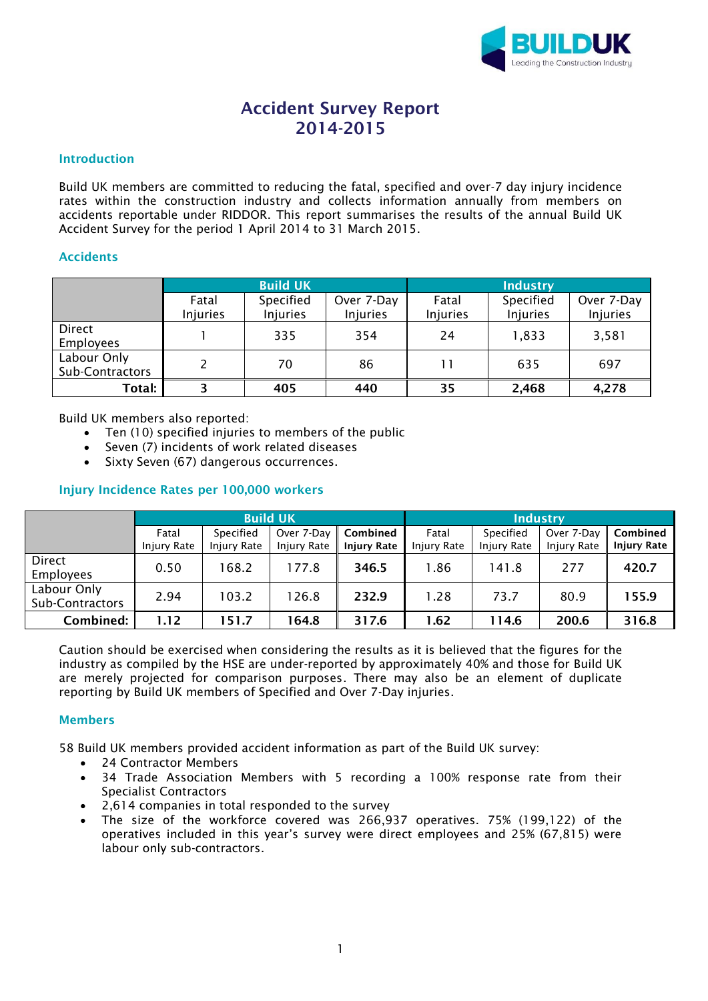

# Accident Survey Report 2014-2015

### Introduction

Build UK members are committed to reducing the fatal, specified and over-7 day injury incidence rates within the construction industry and collects information annually from members on accidents reportable under RIDDOR. This report summarises the results of the annual Build UK Accident Survey for the period 1 April 2014 to 31 March 2015.

### Accidents

|                                |                          | <b>Build UK</b>              |                               | <b>Industry</b>   |                              |                        |  |
|--------------------------------|--------------------------|------------------------------|-------------------------------|-------------------|------------------------------|------------------------|--|
|                                | Fatal<br><b>Injuries</b> | Specified<br><b>Injuries</b> | Over 7-Day<br><b>Injuries</b> | Fatal<br>Injuries | Specified<br><b>Injuries</b> | Over 7-Day<br>Injuries |  |
| Direct<br><b>Employees</b>     |                          | 335                          | 354                           | 24                | 1,833                        | 3,581                  |  |
| Labour Only<br>Sub-Contractors |                          | 70                           | 86                            |                   | 635                          | 697                    |  |
| Total:                         | 3                        | 405                          | 440                           | 35                | 2,468                        | 4,278                  |  |

Build UK members also reported:

- Ten (10) specified injuries to members of the public
- Seven (7) incidents of work related diseases
- Sixty Seven (67) dangerous occurrences.

## Injury Incidence Rates per 100,000 workers

|                                | <b>Build UK</b> |             |             |                    | <b>Industry</b>    |             |                       |                    |
|--------------------------------|-----------------|-------------|-------------|--------------------|--------------------|-------------|-----------------------|--------------------|
|                                | Fatal           | Specified   | Over 7-Day  | Combined           | Fatal              | Specified   | Over 7-Day   Combined |                    |
|                                | Injury Rate     | Injury Rate | Injury Rate | <b>Injury Rate</b> | <b>Injury Rate</b> | Injury Rate | <b>Injury Rate</b>    | <b>Injury Rate</b> |
| Direct<br>Employees            | 0.50            | 168.2       | 177.8       | 346.5              | 1.86               | 141.8       | 277                   | 420.7              |
| Labour Only<br>Sub-Contractors | 2.94            | 103.2       | 126.8       | 232.9              | 1.28               | 73.7        | 80.9                  | 155.9              |
| Combined:                      | 1.12            | 151.7       | 164.8       | 317.6              | 1.62               | 114.6       | 200.6                 | 316.8              |

Caution should be exercised when considering the results as it is believed that the figures for the industry as compiled by the HSE are under-reported by approximately 40% and those for Build UK are merely projected for comparison purposes. There may also be an element of duplicate reporting by Build UK members of Specified and Over 7-Day injuries.

#### Members

58 Build UK members provided accident information as part of the Build UK survey:

- 24 Contractor Members
- 34 Trade Association Members with 5 recording a 100% response rate from their Specialist Contractors
- 2,614 companies in total responded to the survey
- The size of the workforce covered was 266,937 operatives. 75% (199,122) of the operatives included in this year's survey were direct employees and 25% (67,815) were labour only sub-contractors.